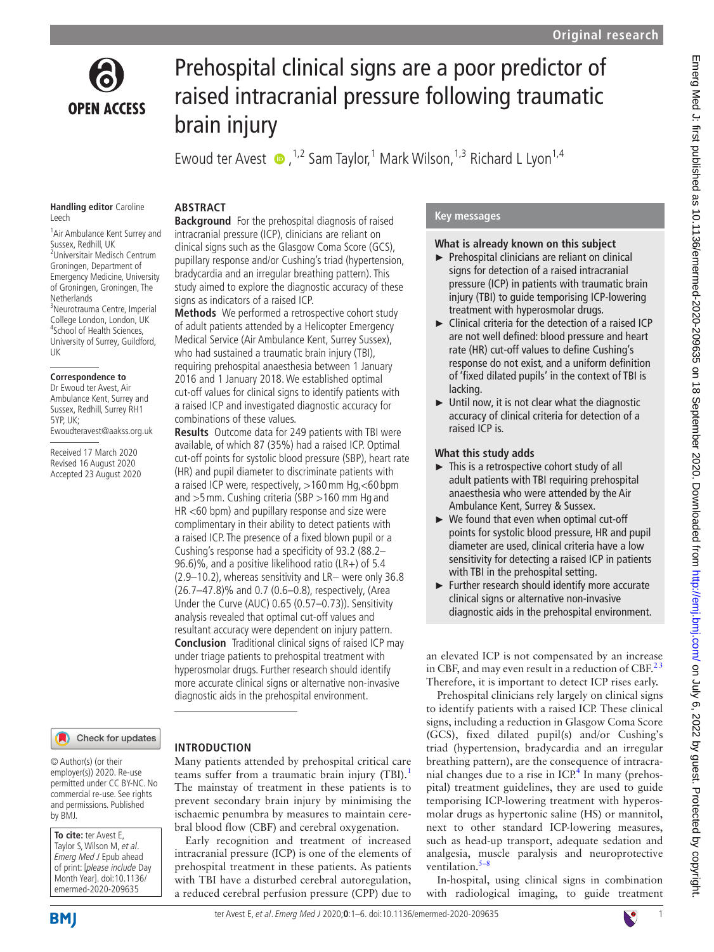

# Prehospital clinical signs are a poor predictor of raised intracranial pressure following traumatic brain injury

Ewoudter Avest  $\bullet$ , <sup>1,2</sup> Sam Taylor,<sup>1</sup> Mark Wilson, <sup>1,3</sup> Richard L Lyon<sup>1,4</sup>

#### **Handling editor** Caroline Leech

1 Air Ambulance Kent Surrey and Sussex, Redhill, UK 2 Universitair Medisch Centrum Groningen, Department of Emergency Medicine, University of Groningen, Groningen, The **Netherlands** 3 Neurotrauma Centre, Imperial College London, London, UK 4 School of Health Sciences, University of Surrey, Guildford, UK

#### **Correspondence to**

Dr Ewoud ter Avest, Air Ambulance Kent, Surrey and Sussex, Redhill, Surrey RH1 5YP, UK; Ewoudteravest@aakss.org.uk

Received 17 March 2020 Revised 16 August 2020 Accepted 23 August 2020

#### Check for updates

© Author(s) (or their employer(s)) 2020. Re-use permitted under CC BY-NC. No commercial re-use. See rights and permissions. Published by BMJ.

**To cite:** ter Avest E, Taylor S, Wilson M, et al. Emerg Med J Epub ahead of print: [please include Day Month Year]. doi:10.1136/ emermed-2020-209635

#### **ABSTRACT Background** For the prehospital diagnosis of raised intracranial pressure (ICP), clinicians are reliant on clinical signs such as the Glasgow Coma Score (GCS), pupillary response and/or Cushing's triad (hypertension, bradycardia and an irregular breathing pattern). This study aimed to explore the diagnostic accuracy of these signs as indicators of a raised ICP.

**Methods** We performed a retrospective cohort study of adult patients attended by a Helicopter Emergency Medical Service (Air Ambulance Kent, Surrey Sussex), who had sustained a traumatic brain injury (TBI), requiring prehospital anaesthesia between 1 January 2016 and 1 January 2018. We established optimal cut-off values for clinical signs to identify patients with a raised ICP and investigated diagnostic accuracy for combinations of these values.

**Results** Outcome data for 249 patients with TBI were available, of which 87 (35%) had a raised ICP. Optimal cut-off points for systolic blood pressure (SBP), heart rate (HR) and pupil diameter to discriminate patients with a raised ICP were, respectively, >160mm Hg,<60 bpm and >5mm. Cushing criteria (SBP >160 mm Hg and HR <60 bpm) and pupillary response and size were complimentary in their ability to detect patients with a raised ICP. The presence of a fixed blown pupil or a Cushing's response had a specificity of 93.2 (88.2– 96.6)%, and a positive likelihood ratio (LR+) of 5.4 (2.9–10.2), whereas sensitivity and LR− were only 36.8 (26.7–47.8)% and 0.7 (0.6–0.8), respectively, (Area Under the Curve (AUC) 0.65 (0.57–0.73)). Sensitivity analysis revealed that optimal cut-off values and resultant accuracy were dependent on injury pattern. **Conclusion** Traditional clinical signs of raised ICP may under triage patients to prehospital treatment with hyperosmolar drugs. Further research should identify more accurate clinical signs or alternative non-invasive diagnostic aids in the prehospital environment.

# **INTRODUCTION**

Many patients attended by prehospital critical care teams suffer from a traumatic brain injury  $(TBI)$ .<sup>[1](#page-5-0)</sup> The mainstay of treatment in these patients is to prevent secondary brain injury by minimising the ischaemic penumbra by measures to maintain cerebral blood flow (CBF) and cerebral oxygenation.

Early recognition and treatment of increased intracranial pressure (ICP) is one of the elements of prehospital treatment in these patients. As patients with TBI have a disturbed cerebral autoregulation, a reduced cerebral perfusion pressure (CPP) due to

# **Key messages**

## **What is already known on this subject**

- ► Prehospital clinicians are reliant on clinical signs for detection of a raised intracranial pressure (ICP) in patients with traumatic brain injury (TBI) to guide temporising ICP-lowering treatment with hyperosmolar drugs.
- ► Clinical criteria for the detection of a raised ICP are not well defined: blood pressure and heart rate (HR) cut-off values to define Cushing's response do not exist, and a uniform definition of 'fixed dilated pupils' in the context of TBI is lacking.
- $\blacktriangleright$  Until now, it is not clear what the diagnostic accuracy of clinical criteria for detection of a raised ICP is.

## **What this study adds**

- ► This is a retrospective cohort study of all adult patients with TBI requiring prehospital anaesthesia who were attended by the Air Ambulance Kent, Surrey & Sussex.
- ► We found that even when optimal cut-off points for systolic blood pressure, HR and pupil diameter are used, clinical criteria have a low sensitivity for detecting a raised ICP in patients with TBI in the prehospital setting.
- ► Further research should identify more accurate clinical signs or alternative non-invasive diagnostic aids in the prehospital environment.

an elevated ICP is not compensated by an increase in CBF, and may even result in a reduction of CBF. $^{23}$ Therefore, it is important to detect ICP rises early.

Prehospital clinicians rely largely on clinical signs to identify patients with a raised ICP. These clinical signs, including a reduction in Glasgow Coma Score (GCS), fixed dilated pupil(s) and/or Cushing's triad (hypertension, bradycardia and an irregular breathing pattern), are the consequence of intracra-nial changes due to a rise in ICP.<sup>[4](#page-5-2)</sup> In many (prehospital) treatment guidelines, they are used to guide temporising ICP-lowering treatment with hyperosmolar drugs as hypertonic saline (HS) or mannitol, next to other standard ICP-lowering measures, such as head-up transport, adequate sedation and analgesia, muscle paralysis and neuroprotective ventilation. $5-8$ 

In-hospital, using clinical signs in combination with radiological imaging, to guide treatment

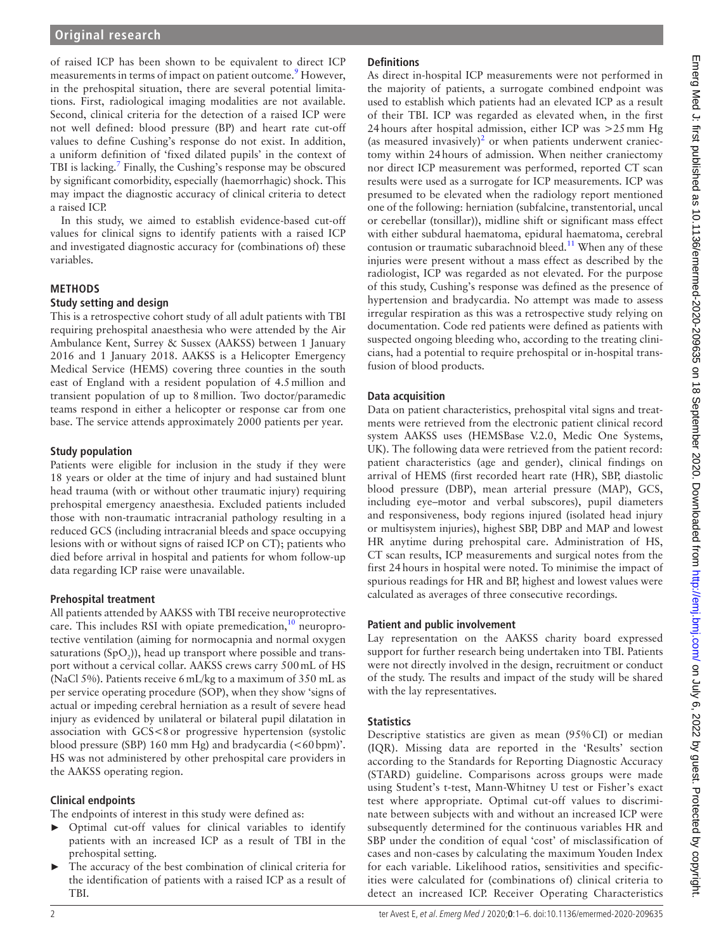of raised ICP has been shown to be equivalent to direct ICP measurements in terms of impact on patient outcome.<sup>[9](#page-5-4)</sup> However, in the prehospital situation, there are several potential limitations. First, radiological imaging modalities are not available. Second, clinical criteria for the detection of a raised ICP were not well defined: blood pressure (BP) and heart rate cut-off values to define Cushing's response do not exist. In addition, a uniform definition of 'fixed dilated pupils' in the context of TBI is lacking.<sup>7</sup> Finally, the Cushing's response may be obscured by significant comorbidity, especially (haemorrhagic) shock. This may impact the diagnostic accuracy of clinical criteria to detect a raised ICP.

In this study, we aimed to establish evidence-based cut-off values for clinical signs to identify patients with a raised ICP and investigated diagnostic accuracy for (combinations of) these variables.

## **METHODS**

## **Study setting and design**

This is a retrospective cohort study of all adult patients with TBI requiring prehospital anaesthesia who were attended by the Air Ambulance Kent, Surrey & Sussex (AAKSS) between 1 January 2016 and 1 January 2018. AAKSS is a Helicopter Emergency Medical Service (HEMS) covering three counties in the south east of England with a resident population of 4.5million and transient population of up to 8million. Two doctor/paramedic teams respond in either a helicopter or response car from one base. The service attends approximately 2000 patients per year.

## **Study population**

Patients were eligible for inclusion in the study if they were 18 years or older at the time of injury and had sustained blunt head trauma (with or without other traumatic injury) requiring prehospital emergency anaesthesia. Excluded patients included those with non-traumatic intracranial pathology resulting in a reduced GCS (including intracranial bleeds and space occupying lesions with or without signs of raised ICP on CT); patients who died before arrival in hospital and patients for whom follow-up data regarding ICP raise were unavailable.

## **Prehospital treatment**

All patients attended by AAKSS with TBI receive neuroprotective care. This includes RSI with opiate premedication, $10$  neuroprotective ventilation (aiming for normocapnia and normal oxygen saturations (SpO<sub>2</sub>)), head up transport where possible and transport without a cervical collar. AAKSS crews carry 500mL of HS (NaCl 5%). Patients receive 6mL/kg to a maximum of 350 mL as per service operating procedure (SOP), when they show 'signs of actual or impeding cerebral herniation as a result of severe head injury as evidenced by unilateral or bilateral pupil dilatation in association with GCS<8or progressive hypertension (systolic blood pressure (SBP) 160 mm Hg) and bradycardia (<60bpm)'. HS was not administered by other prehospital care providers in the AAKSS operating region.

## **Clinical endpoints**

The endpoints of interest in this study were defined as:

- ► Optimal cut-off values for clinical variables to identify patients with an increased ICP as a result of TBI in the prehospital setting.
- The accuracy of the best combination of clinical criteria for the identification of patients with a raised ICP as a result of TBI.

# **Definitions**

As direct in-hospital ICP measurements were not performed in the majority of patients, a surrogate combined endpoint was used to establish which patients had an elevated ICP as a result of their TBI. ICP was regarded as elevated when, in the first 24hours after hospital admission, either ICP was >25mm Hg (as measured invasively)<sup>[2](#page-5-1)</sup> or when patients underwent craniectomy within 24hours of admission. When neither craniectomy nor direct ICP measurement was performed, reported CT scan results were used as a surrogate for ICP measurements. ICP was presumed to be elevated when the radiology report mentioned one of the following: herniation (subfalcine, transtentorial, uncal or cerebellar (tonsillar)), midline shift or significant mass effect with either subdural haematoma, epidural haematoma, cerebral contusion or traumatic subarachnoid bleed.<sup>11</sup> When any of these injuries were present without a mass effect as described by the radiologist, ICP was regarded as not elevated. For the purpose of this study, Cushing's response was defined as the presence of hypertension and bradycardia. No attempt was made to assess irregular respiration as this was a retrospective study relying on documentation. Code red patients were defined as patients with suspected ongoing bleeding who, according to the treating clinicians, had a potential to require prehospital or in-hospital transfusion of blood products.

# **Data acquisition**

Data on patient characteristics, prehospital vital signs and treatments were retrieved from the electronic patient clinical record system AAKSS uses (HEMSBase V.2.0, Medic One Systems, UK). The following data were retrieved from the patient record: patient characteristics (age and gender), clinical findings on arrival of HEMS (first recorded heart rate (HR), SBP, diastolic blood pressure (DBP), mean arterial pressure (MAP), GCS, including eye–motor and verbal subscores), pupil diameters and responsiveness, body regions injured (isolated head injury or multisystem injuries), highest SBP, DBP and MAP and lowest HR anytime during prehospital care. Administration of HS, CT scan results, ICP measurements and surgical notes from the first 24hours in hospital were noted. To minimise the impact of spurious readings for HR and BP, highest and lowest values were calculated as averages of three consecutive recordings.

## **Patient and public involvement**

Lay representation on the AAKSS charity board expressed support for further research being undertaken into TBI. Patients were not directly involved in the design, recruitment or conduct of the study. The results and impact of the study will be shared with the lay representatives.

# **Statistics**

Descriptive statistics are given as mean (95%CI) or median (IQR). Missing data are reported in the 'Results' section according to the Standards for Reporting Diagnostic Accuracy (STARD) guideline. Comparisons across groups were made using Student's t-test, Mann-Whitney U test or Fisher's exact test where appropriate. Optimal cut-off values to discriminate between subjects with and without an increased ICP were subsequently determined for the continuous variables HR and SBP under the condition of equal 'cost' of misclassification of cases and non-cases by calculating the maximum Youden Index for each variable. Likelihood ratios, sensitivities and specificities were calculated for (combinations of) clinical criteria to detect an increased ICP. Receiver Operating Characteristics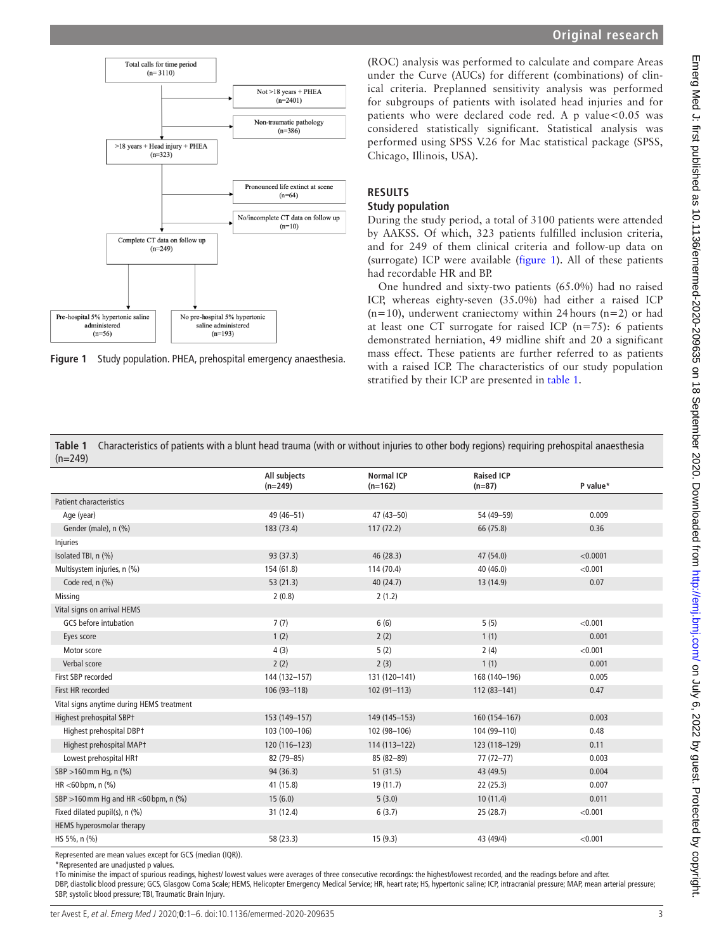

<span id="page-2-0"></span>**Figure 1** Study population. PHEA, prehospital emergency anaesthesia.

(ROC) analysis was performed to calculate and compare Areas under the Curve (AUCs) for different (combinations) of clinical criteria. Preplanned sensitivity analysis was performed for subgroups of patients with isolated head injuries and for patients who were declared code red. A p value<0.05 was considered statistically significant. Statistical analysis was performed using SPSS V.26 for Mac statistical package (SPSS, Chicago, Illinois, USA).

# **RESULTS**

## **Study population**

During the study period, a total of 3100 patients were attended by AAKSS. Of which, 323 patients fulfilled inclusion criteria, and for 249 of them clinical criteria and follow-up data on (surrogate) ICP were available [\(figure](#page-2-0) 1). All of these patients had recordable HR and BP.

One hundred and sixty-two patients (65.0%) had no raised ICP, whereas eighty-seven (35.0%) had either a raised ICP  $(n=10)$ , underwent craniectomy within 24 hours  $(n=2)$  or had at least one CT surrogate for raised ICP (n=75): 6 patients demonstrated herniation, 49 midline shift and 20 a significant mass effect. These patients are further referred to as patients with a raised ICP. The characteristics of our study population stratified by their ICP are presented in [table](#page-2-1) 1.

<span id="page-2-1"></span>**Table 1** Characteristics of patients with a blunt head trauma (with or without injuries to other body regions) requiring prehospital anaesthesia (n=249)

| All subjects  | <b>Normal ICP</b>       | <b>Raised ICP</b>          | P value*               |
|---------------|-------------------------|----------------------------|------------------------|
|               |                         |                            |                        |
|               |                         |                            |                        |
|               |                         |                            | 0.009                  |
| 183 (73.4)    | 117(72.2)               | 66 (75.8)                  | 0.36                   |
|               |                         |                            |                        |
| 93 (37.3)     | 46 (28.3)               | 47 (54.0)                  | < 0.0001               |
| 154 (61.8)    | 114(70.4)               | 40 (46.0)                  | < 0.001                |
| 53(21.3)      | 40 (24.7)               | 13 (14.9)                  | 0.07                   |
| 2(0.8)        | 2(1.2)                  |                            |                        |
|               |                         |                            |                        |
| 7(7)          | 6(6)                    | 5(5)                       | < 0.001                |
| 1(2)          | 2(2)                    | 1(1)                       | 0.001                  |
| 4(3)          | 5(2)                    | 2(4)                       | < 0.001                |
| 2(2)          | 2(3)                    | 1(1)                       | 0.001                  |
| 144 (132-157) | 131 (120-141)           | 168 (140-196)              | 0.005                  |
| 106 (93-118)  | $102(91-113)$           | $112(83 - 141)$            | 0.47                   |
|               |                         |                            |                        |
| 153 (149-157) | 149 (145-153)           | 160 (154-167)              | 0.003                  |
| 103 (100-106) | 102 (98-106)            | 104 (99-110)               | 0.48                   |
| 120 (116-123) | 114 (113-122)           | 123 (118-129)              | 0.11                   |
| 82 (79-85)    | 85 (82-89)              | $77(72 - 77)$              | 0.003                  |
| 94(36.3)      | 51(31.5)                | 43 (49.5)                  | 0.004                  |
| 41 (15.8)     | 19(11.7)                | 22(25.3)                   | 0.007                  |
| 15(6.0)       | 5(3.0)                  | 10(11.4)                   | 0.011                  |
| 31(12.4)      | 6(3.7)                  | 25(28.7)                   | < 0.001                |
|               |                         |                            |                        |
| 58 (23.3)     | 15(9.3)                 | 43 (49/4)                  | < 0.001                |
|               | $(n=249)$<br>49 (46-51) | $(n=162)$<br>$47(43 - 50)$ | $(n=87)$<br>54 (49-59) |

Represented are mean values except for GCS (median (IQR)).

\*Represented are unadjusted p values.

†To minimise the impact of spurious readings, highest/ lowest values were averages of three consecutive recordings: the highest/lowest recorded, and the readings before and after. DBP, diastolic blood pressure; GCS, Glasgow Coma Scale; HEMS, Helicopter Emergency Medical Service; HR, heart rate; HS, hypertonic saline; ICP, intracranial pressure; MAP, mean arterial pressure; SBP, systolic blood pressure; TBI, Traumatic Brain Injury.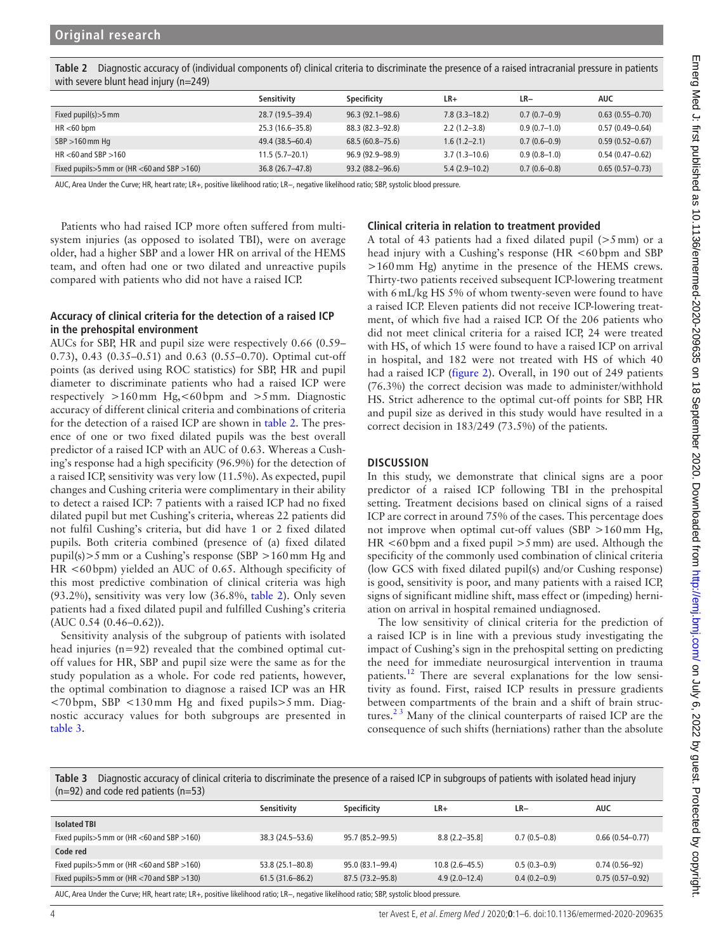<span id="page-3-0"></span>**Table 2** Diagnostic accuracy of (individual components of) clinical criteria to discriminate the presence of a raised intracranial pressure in patients with severe blunt head injury (n=249)

|                                            | Sensitivity      | Specificity          | $LR+$             | $LR-$          | <b>AUC</b>          |
|--------------------------------------------|------------------|----------------------|-------------------|----------------|---------------------|
| Fixed $pupil(s) > 5$ mm                    | 28.7 (19.5-39.4) | $96.3(92.1 - 98.6)$  | $7.8(3.3-18.2)$   | $0.7(0.7-0.9)$ | $0.63(0.55 - 0.70)$ |
| $HR < 60$ bpm                              | 25.3 (16.6-35.8) | 88.3 (82.3-92.8)     | $2.2(1.2 - 3.8)$  | $0.9(0.7-1.0)$ | $0.57(0.49 - 0.64)$ |
| $SBP > 160$ mm Hq                          | 49.4 (38.5–60.4) | $68.5(60.8 - 75.6)$  | $1.6(1.2 - 2.1)$  | $0.7(0.6-0.9)$ | $0.59(0.52 - 0.67)$ |
| $HR < 60$ and SBP $>160$                   | $11.5(5.7-20.1)$ | 96.9 (92.9-98.9)     | $3.7(1.3 - 10.6)$ | $0.9(0.8-1.0)$ | $0.54(0.47-0.62)$   |
| Fixed pupils>5 mm or (HR <60 and SBP >160) | 36.8 (26.7-47.8) | $93.2 (88.2 - 96.6)$ | $5.4(2.9-10.2)$   | $0.7(0.6-0.8)$ | $0.65(0.57-0.73)$   |

AUC, Area Under the Curve; HR, heart rate; LR+, positive likelihood ratio; LR−, negative likelihood ratio; SBP, systolic blood pressure.

Patients who had raised ICP more often suffered from multisystem injuries (as opposed to isolated TBI), were on average older, had a higher SBP and a lower HR on arrival of the HEMS team, and often had one or two dilated and unreactive pupils compared with patients who did not have a raised ICP.

## **Accuracy of clinical criteria for the detection of a raised ICP in the prehospital environment**

AUCs for SBP, HR and pupil size were respectively 0.66 (0.59– 0.73), 0.43 (0.35–0.51) and 0.63 (0.55–0.70). Optimal cut-off points (as derived using ROC statistics) for SBP, HR and pupil diameter to discriminate patients who had a raised ICP were respectively  $>160 \text{ mm}$  Hg,  $< 60 \text{ ppm}$  and  $> 5 \text{ mm}$ . Diagnostic accuracy of different clinical criteria and combinations of criteria for the detection of a raised ICP are shown in [table](#page-3-0) 2. The presence of one or two fixed dilated pupils was the best overall predictor of a raised ICP with an AUC of 0.63. Whereas a Cushing's response had a high specificity (96.9%) for the detection of a raised ICP, sensitivity was very low (11.5%). As expected, pupil changes and Cushing criteria were complimentary in their ability to detect a raised ICP: 7 patients with a raised ICP had no fixed dilated pupil but met Cushing's criteria, whereas 22 patients did not fulfil Cushing's criteria, but did have 1 or 2 fixed dilated pupils. Both criteria combined (presence of (a) fixed dilated pupil(s)>5mm or a Cushing's response (SBP >160mm Hg and HR <60bpm) yielded an AUC of 0.65. Although specificity of this most predictive combination of clinical criteria was high (93.2%), sensitivity was very low (36.8%, [table](#page-3-0) 2). Only seven patients had a fixed dilated pupil and fulfilled Cushing's criteria (AUC 0.54 (0.46–0.62)).

Sensitivity analysis of the subgroup of patients with isolated head injuries (n=92) revealed that the combined optimal cutoff values for HR, SBP and pupil size were the same as for the study population as a whole. For code red patients, however, the optimal combination to diagnose a raised ICP was an HR  $\langle$  <70 bpm, SBP  $\langle$  130 mm Hg and fixed pupils > 5 mm. Diagnostic accuracy values for both subgroups are presented in [table](#page-3-1) 3.

## **Clinical criteria in relation to treatment provided**

A total of 43 patients had a fixed dilated pupil (>5mm) or a head injury with a Cushing's response (HR <60 bpm and SBP >160mm Hg) anytime in the presence of the HEMS crews. Thirty-two patients received subsequent ICP-lowering treatment with 6mL/kg HS 5% of whom twenty-seven were found to have a raised ICP. Eleven patients did not receive ICP-lowering treatment, of which five had a raised ICP. Of the 206 patients who did not meet clinical criteria for a raised ICP, 24 were treated with HS, of which 15 were found to have a raised ICP on arrival in hospital, and 182 were not treated with HS of which 40 had a raised ICP [\(figure](#page-4-0) 2). Overall, in 190 out of 249 patients (76.3%) the correct decision was made to administer/withhold HS. Strict adherence to the optimal cut-off points for SBP, HR and pupil size as derived in this study would have resulted in a correct decision in 183/249 (73.5%) of the patients.

## **DISCUSSION**

In this study, we demonstrate that clinical signs are a poor predictor of a raised ICP following TBI in the prehospital setting. Treatment decisions based on clinical signs of a raised ICP are correct in around 75% of the cases. This percentage does not improve when optimal cut-off values (SBP  $>160$  mm Hg,  $HR < 60$  bpm and a fixed pupil  $> 5$  mm) are used. Although the specificity of the commonly used combination of clinical criteria (low GCS with fixed dilated pupil(s) and/or Cushing response) is good, sensitivity is poor, and many patients with a raised ICP, signs of significant midline shift, mass effect or (impeding) herniation on arrival in hospital remained undiagnosed.

The low sensitivity of clinical criteria for the prediction of a raised ICP is in line with a previous study investigating the impact of Cushing's sign in the prehospital setting on predicting the need for immediate neurosurgical intervention in trauma patients[.12](#page-5-8) There are several explanations for the low sensitivity as found. First, raised ICP results in pressure gradients between compartments of the brain and a shift of brain structures.<sup>23</sup> Many of the clinical counterparts of raised ICP are the consequence of such shifts (herniations) rather than the absolute

<span id="page-3-1"></span>**Table 3** Diagnostic accuracy of clinical criteria to discriminate the presence of a raised ICP in subgroups of patients with isolated head injury (n=92) and code red patients (n=53)

|                                                                                                                                          | Sensitivity         | <b>Specificity</b> | $LR+$              | $LR-$          | <b>AUC</b>          |  |  |  |
|------------------------------------------------------------------------------------------------------------------------------------------|---------------------|--------------------|--------------------|----------------|---------------------|--|--|--|
| <b>Isolated TBI</b>                                                                                                                      |                     |                    |                    |                |                     |  |  |  |
| Fixed pupils>5 mm or (HR <60 and SBP >160)                                                                                               | 38.3 (24.5–53.6)    | 95.7 (85.2-99.5)   | $8.8(2.2 - 35.8)$  | $0.7(0.5-0.8)$ | $0.66(0.54 - 0.77)$ |  |  |  |
| Code red                                                                                                                                 |                     |                    |                    |                |                     |  |  |  |
| Fixed pupils $>5$ mm or (HR $<$ 60 and SBP $>$ 160)                                                                                      | 53.8 (25.1-80.8)    | 95.0 (83.1-99.4)   | $10.8(2.6 - 45.5)$ | $0.5(0.3-0.9)$ | $0.74(0.56 - 92)$   |  |  |  |
| Fixed pupils $>5$ mm or (HR $<$ 70 and SBP $>$ 130)                                                                                      | $61.5(31.6 - 86.2)$ | 87.5 (73.2-95.8)   | $4.9(2.0 - 12.4)$  | $0.4(0.2-0.9)$ | $0.75(0.57-0.92)$   |  |  |  |
| AUC, Area Under the Curve; HR, heart rate; LR+, positive likelihood ratio; LR-, negative likelihood ratio; SBP, systolic blood pressure. |                     |                    |                    |                |                     |  |  |  |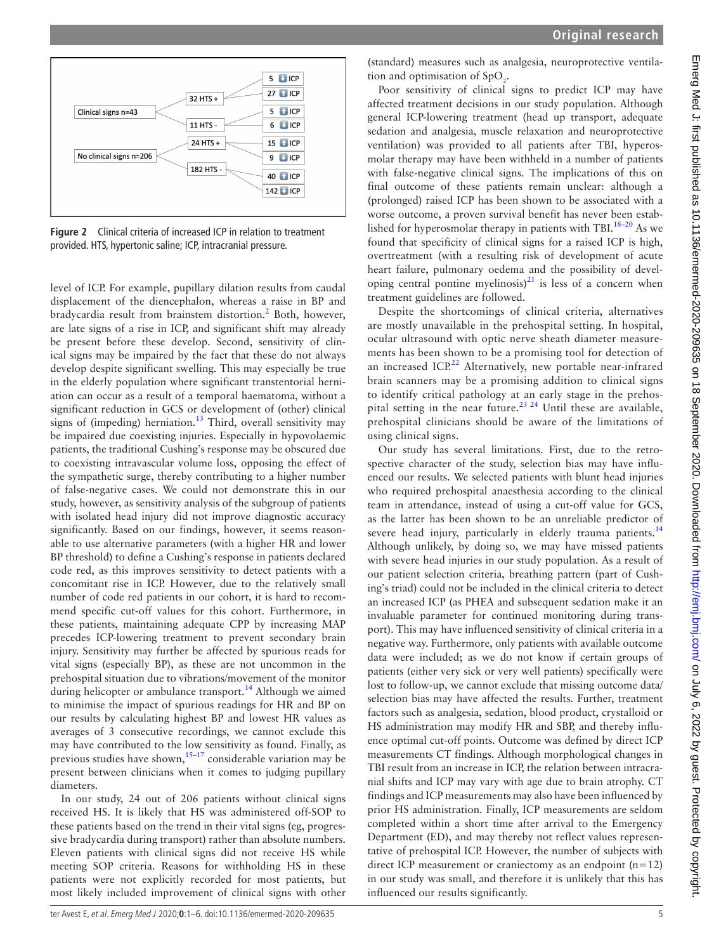

<span id="page-4-0"></span>**Figure 2** Clinical criteria of increased ICP in relation to treatment provided. HTS, hypertonic saline; ICP, intracranial pressure.

level of ICP. For example, pupillary dilation results from caudal displacement of the diencephalon, whereas a raise in BP and bradycardia result from brainstem distortion.<sup>2</sup> Both, however, are late signs of a rise in ICP, and significant shift may already be present before these develop. Second, sensitivity of clinical signs may be impaired by the fact that these do not always develop despite significant swelling. This may especially be true in the elderly population where significant transtentorial herniation can occur as a result of a temporal haematoma, without a significant reduction in GCS or development of (other) clinical signs of (impeding) herniation.<sup>13</sup> Third, overall sensitivity may be impaired due coexisting injuries. Especially in hypovolaemic patients, the traditional Cushing's response may be obscured due to coexisting intravascular volume loss, opposing the effect of the sympathetic surge, thereby contributing to a higher number of false-negative cases. We could not demonstrate this in our study, however, as sensitivity analysis of the subgroup of patients with isolated head injury did not improve diagnostic accuracy significantly. Based on our findings, however, it seems reasonable to use alternative parameters (with a higher HR and lower BP threshold) to define a Cushing's response in patients declared code red, as this improves sensitivity to detect patients with a concomitant rise in ICP. However, due to the relatively small number of code red patients in our cohort, it is hard to recommend specific cut-off values for this cohort. Furthermore, in these patients, maintaining adequate CPP by increasing MAP precedes ICP-lowering treatment to prevent secondary brain injury. Sensitivity may further be affected by spurious reads for vital signs (especially BP), as these are not uncommon in the prehospital situation due to vibrations/movement of the monitor during helicopter or ambulance transport.<sup>14</sup> Although we aimed to minimise the impact of spurious readings for HR and BP on our results by calculating highest BP and lowest HR values as averages of 3 consecutive recordings, we cannot exclude this may have contributed to the low sensitivity as found. Finally, as previous studies have shown, $15-17$  considerable variation may be present between clinicians when it comes to judging pupillary diameters.

In our study, 24 out of 206 patients without clinical signs received HS. It is likely that HS was administered off-SOP to these patients based on the trend in their vital signs (eg, progressive bradycardia during transport) rather than absolute numbers. Eleven patients with clinical signs did not receive HS while meeting SOP criteria. Reasons for withholding HS in these patients were not explicitly recorded for most patients, but most likely included improvement of clinical signs with other

(standard) measures such as analgesia, neuroprotective ventilation and optimisation of  $SpO<sub>2</sub>$ .

Poor sensitivity of clinical signs to predict ICP may have affected treatment decisions in our study population. Although general ICP-lowering treatment (head up transport, adequate sedation and analgesia, muscle relaxation and neuroprotective ventilation) was provided to all patients after TBI, hyperosmolar therapy may have been withheld in a number of patients with false-negative clinical signs. The implications of this on final outcome of these patients remain unclear: although a (prolonged) raised ICP has been shown to be associated with a worse outcome, a proven survival benefit has never been established for hyperosmolar therapy in patients with TBI. $18-20$  As we found that specificity of clinical signs for a raised ICP is high, overtreatment (with a resulting risk of development of acute heart failure, pulmonary oedema and the possibility of developing central pontine myelinosis) $^{21}$  $^{21}$  $^{21}$  is less of a concern when treatment guidelines are followed.

Despite the shortcomings of clinical criteria, alternatives are mostly unavailable in the prehospital setting. In hospital, ocular ultrasound with optic nerve sheath diameter measurements has been shown to be a promising tool for detection of an increased ICP. $^{22}$  Alternatively, new portable near-infrared brain scanners may be a promising addition to clinical signs to identify critical pathology at an early stage in the prehos-pital setting in the near future.<sup>[23 24](#page-5-15)</sup> Until these are available, prehospital clinicians should be aware of the limitations of using clinical signs.

Our study has several limitations. First, due to the retrospective character of the study, selection bias may have influenced our results. We selected patients with blunt head injuries who required prehospital anaesthesia according to the clinical team in attendance, instead of using a cut-off value for GCS, as the latter has been shown to be an unreliable predictor of severe head injury, particularly in elderly trauma patients.<sup>[14](#page-5-10)</sup> Although unlikely, by doing so, we may have missed patients with severe head injuries in our study population. As a result of our patient selection criteria, breathing pattern (part of Cushing's triad) could not be included in the clinical criteria to detect an increased ICP (as PHEA and subsequent sedation make it an invaluable parameter for continued monitoring during transport). This may have influenced sensitivity of clinical criteria in a negative way. Furthermore, only patients with available outcome data were included; as we do not know if certain groups of patients (either very sick or very well patients) specifically were lost to follow-up, we cannot exclude that missing outcome data/ selection bias may have affected the results. Further, treatment factors such as analgesia, sedation, blood product, crystalloid or HS administration may modify HR and SBP, and thereby influence optimal cut-off points. Outcome was defined by direct ICP measurements CT findings. Although morphological changes in TBI result from an increase in ICP, the relation between intracranial shifts and ICP may vary with age due to brain atrophy. CT findings and ICP measurements may also have been influenced by prior HS administration. Finally, ICP measurements are seldom completed within a short time after arrival to the Emergency Department (ED), and may thereby not reflect values representative of prehospital ICP. However, the number of subjects with direct ICP measurement or craniectomy as an endpoint (n=12) in our study was small, and therefore it is unlikely that this has influenced our results significantly.